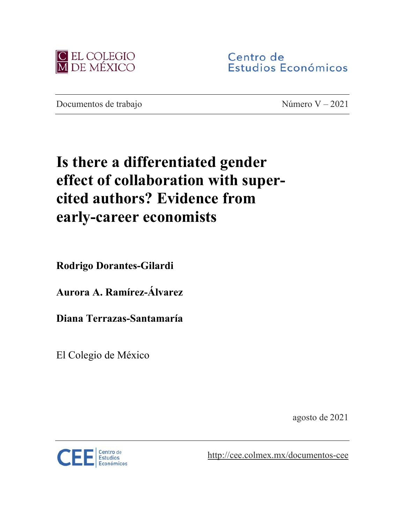

Centro de Estudios Económicos

Documentos de trabajo Número V – 2021

# **Is there a differentiated gender effect of collaboration with supercited authors? Evidence from early-career economists**

**Rodrigo Dorantes-Gilardi**

**Aurora A. Ramírez-Álvarez**

**Diana Terrazas-Santamaría**

El Colegio de México

agosto de 2021



<http://cee.colmex.mx/documentos-cee>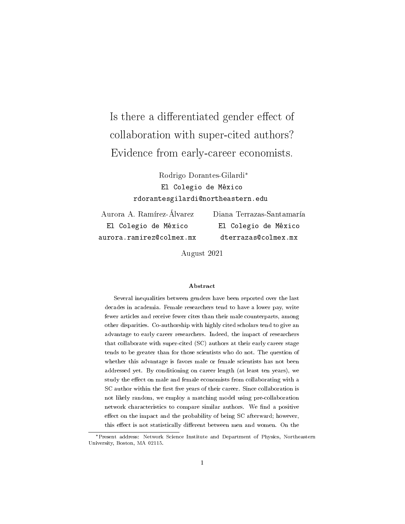## Is there a differentiated gender effect of collaboration with super-cited authors? Evidence from early-career economists.

Rodrigo Dorantes-Gilardi\* El Colegio de México rdorantesgilardi@northeastern.edu

Aurora A. Ramírez-Álvarez El Colegio de México aurora.ramirez@colmex.mx

Diana Terrazas-Santamaría El Colegio de México dterrazas@colmex.mx

August 2021

#### Abstract

Several inequalities between genders have been reported over the last decades in academia. Female researchers tend to have a lower pay, write fewer articles and receive fewer cites than their male counterparts, among other disparities. Co-authorship with highly cited scholars tend to give an advantage to early career researchers. Indeed, the impact of researchers that collaborate with super-cited (SC) authors at their early career stage tends to be greater than for those scientists who do not. The question of whether this advantage is favors male or female scientists has not been addressed yet. By conditioning on career length (at least ten years), we study the effect on male and female economists from collaborating with a SC author within the first five years of their career. Since collaboration is not likely random, we employ a matching model using pre-collaboration network characteristics to compare similar authors. We find a positive effect on the impact and the probability of being SC afterward; however, this effect is not statistically different between men and women. On the

<sup>\*</sup>Present address: Network Science Institute and Department of Physics, Northeastern University, Boston, MA 02115.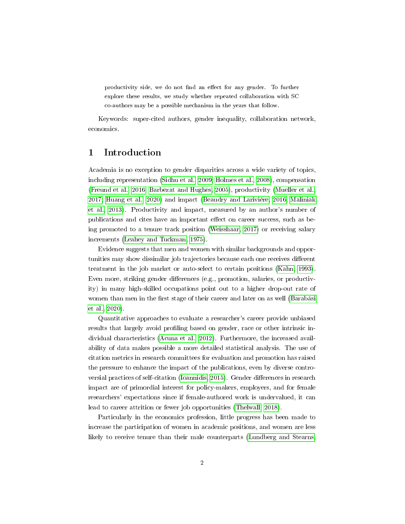productivity side, we do not find an effect for any gender. To further explore these results, we study whether repeated collaboration with SC co-authors may be a possible mechanism in the years that follow.

Keywords: super-cited authors, gender inequality, collaboration network, economics.

## 1 Introduction

Academia is no exception to gender disparities across a wide variety of topics, including representation [\(Sidhu et al., 2009;](#page-22-0) [Holmes et al., 2008\)](#page-21-0), compensation [\(Freund et al., 2016;](#page-20-0) [Barbezat and Hughes, 2005\)](#page-19-0), productivity [\(Mueller et al.,](#page-22-1) [2017;](#page-22-1) [Huang et al., 2020\)](#page-21-1) and impact [\(Beaudry and Larivière, 2016;](#page-19-1) [Maliniak](#page-22-2) [et al., 2013\)](#page-22-2). Productivity and impact, measured by an author's number of publications and cites have an important effect on career success, such as being promoted to a tenure track position [\(Weisshaar, 2017\)](#page-23-0) or receiving salary increments [\(Leahey and Tuckman, 1975\)](#page-21-2).

Evidence suggests that men and women with similar backgrounds and opportunities may show dissimilar job trajectories because each one receives different treatment in the job market or auto-select to certain positions [\(Kahn, 1993\)](#page-21-3). Even more, striking gender differences (e.g., promotion, salaries, or productivity) in many high-skilled occupations point out to a higher drop-out rate of women than men in the first stage of their career and later on as well [\(Barabási](#page-19-2) [et al., 2020\)](#page-19-2).

Quantitative approaches to evaluate a researcher's career provide unbiased results that largely avoid profiling based on gender, race or other intrinsic individual characteristics [\(Acuna et al., 2012\)](#page-19-3). Furthermore, the increased availability of data makes possible a more detailed statistical analysis. The use of citation metrics in research committees for evaluation and promotion has raised the pressure to enhance the impact of the publications, even by diverse contro-versial practices of self-citation [\(Ioannidis, 2015\)](#page-21-4). Gender differences in research impact are of primordial interest for policy-makers, employers, and for female researchers' expectations since if female-authored work is undervalued, it can lead to career attrition or fewer job opportunities [\(Thelwall, 2018\)](#page-23-1).

Particularly in the economics profession, little progress has been made to increase the participation of women in academic positions, and women are less likely to receive tenure than their male counterparts [\(Lundberg and Stearns,](#page-22-3)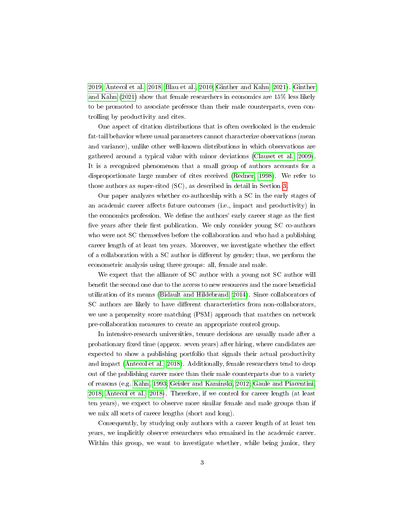[2019;](#page-22-3) [Antecol et al., 2018;](#page-19-4) [Blau et al., 2010;](#page-20-1) [Ginther and Kahn, 2021\)](#page-20-2). [Ginther](#page-20-2) [and Kahn](#page-20-2) [\(2021\)](#page-20-2) show that female researchers in economics are 15% less likely to be promoted to associate professor than their male counterparts, even controlling by productivity and cites.

One aspect of citation distributions that is often overlooked is the endemic fat-tail behavior where usual parameters cannot characterize observations (mean and variance), unlike other well-known distributions in which observations are gathered around a typical value with minor deviations [\(Clauset et al., 2009\)](#page-20-3). It is a recognized phenomenon that a small group of authors accounts for a disproportionate large number of cites received [\(Redner, 1998\)](#page-22-4). We refer to those authors as super-cited (SC), as described in detail in Section [3.](#page-7-0)

Our paper analyzes whether co-authorship with a SC in the early stages of an academic career affects future outcomes (i.e., impact and productivity) in the economics profession. We define the authors' early career stage as the first five years after their first publication. We only consider young SC co-authors who were not SC themselves before the collaboration and who had a publishing career length of at least ten years. Moreover, we investigate whether the effect of a collaboration with a  $SC$  author is different by gender; thus, we perform the econometric analysis using three groups: all, female and male.

We expect that the alliance of SC author with a young not SC author will benefit the second one due to the access to new resources and the more beneficial utilization of its means [\(Bidault and Hildebrand, 2014\)](#page-19-5). Since collaborators of SC authors are likely to have different characteristics from non-collaborators, we use a propensity score matching (PSM) approach that matches on network pre-collaboration measures to create an appropriate control group.

In intensive-research universities, tenure decisions are usually made after a probationary fixed time (approx. seven years) after hiring, where candidates are expected to show a publishing portfolio that signals their actual productivity and impact [\(Antecol et al., 2018\)](#page-19-4). Additionally, female researchers tend to drop out of the publishing career more than their male counterparts due to a variety of reasons (e.g. [Kahn, 1993;](#page-21-3) [Geisler and Kaminski, 2012;](#page-20-4) [Gaule and Piacentini,](#page-20-5) [2018;](#page-20-5) [Antecol et al., 2018\)](#page-19-4). Therefore, if we control for career length (at least ten years), we expect to observe more similar female and male groups than if we mix all sorts of career lengths (short and long).

Consequently, by studying only authors with a career length of at least ten years, we implicitly observe researchers who remained in the academic career. Within this group, we want to investigate whether, while being junior, they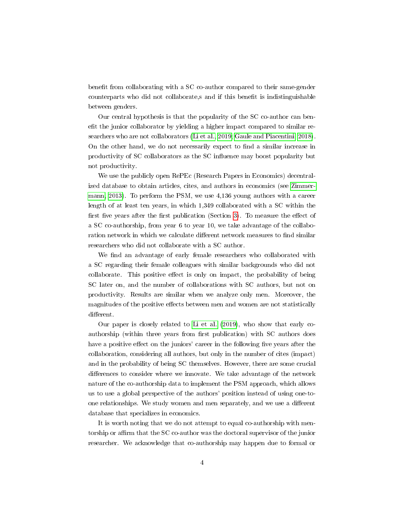benefit from collaborating with a SC co-author compared to their same-gender counterparts who did not collaborate, s and if this benefit is indistinguishable between genders.

Our central hypothesis is that the popularity of the SC co-author can benefit the junior collaborator by yielding a higher impact compared to similar researchers who are not collaborators [\(Li et al., 2019;](#page-21-5) [Gaule and Piacentini, 2018\)](#page-20-5). On the other hand, we do not necessarily expect to find a similar increase in productivity of SC collaborators as the SC influence may boost popularity but not productivity.

We use the publicly open RePEc (Research Papers in Economics) decentralized database to obtain articles, cites, and authors in economics (see [Zimmer](#page-23-2)[mann, 2013\)](#page-23-2). To perform the PSM, we use 4,136 young authors with a career length of at least ten years, in which 1,349 collaborated with a SC within the first five years after the first publication (Section [3\)](#page-7-0). To measure the effect of a SC co-authorship, from year 6 to year 10, we take advantage of the collaboration network in which we calculate different network measures to find similar researchers who did not collaborate with a SC author.

We find an advantage of early female researchers who collaborated with a SC regarding their female colleagues with similar backgrounds who did not collaborate. This positive effect is only on impact, the probability of being SC later on, and the number of collaborations with SC authors, but not on productivity. Results are similar when we analyze only men. Moreover, the magnitudes of the positive effects between men and women are not statistically different.

Our paper is closely related to [Li et al.](#page-21-5) [\(2019\)](#page-21-5), who show that early coauthorship (within three years from first publication) with SC authors does have a positive effect on the juniors' career in the following five years after the collaboration, considering all authors, but only in the number of cites (impact) and in the probability of being SC themselves. However, there are some crucial differences to consider where we innovate. We take advantage of the network nature of the co-authorship data to implement the PSM approach, which allows us to use a global perspective of the authors' position instead of using one-toone relationships. We study women and men separately, and we use a different database that specializes in economics.

It is worth noting that we do not attempt to equal co-authorship with mentorship or affirm that the SC co-author was the doctoral supervisor of the junior researcher. We acknowledge that co-authorship may happen due to formal or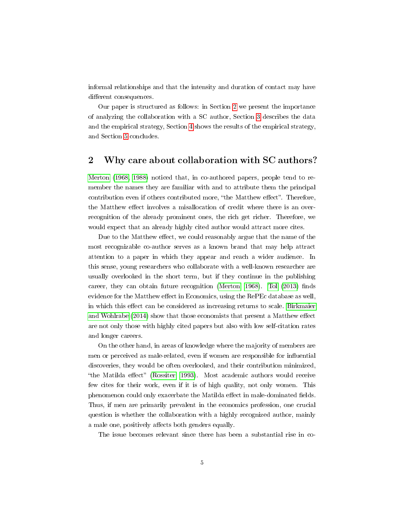informal relationships and that the intensity and duration of contact may have different consequences.

Our paper is structured as follows: in Section [2](#page-5-0) we present the importance of analyzing the collaboration with a SC author, Section [3](#page-7-0) describes the data and the empirical strategy, Section [4](#page-12-0) shows the results of the empirical strategy, and Section [5](#page-18-0) concludes.

## <span id="page-5-0"></span>2 Why care about collaboration with SC authors?

[Merton](#page-22-5) [\(1968,](#page-22-5) [1988\)](#page-22-6) noticed that, in co-authored papers, people tend to remember the names they are familiar with and to attribute them the principal contribution even if others contributed more, "the Matthew effect". Therefore, the Matthew effect involves a misallocation of credit where there is an overrecognition of the already prominent ones, the rich get richer. Therefore, we would expect that an already highly cited author would attract more cites.

Due to the Matthew effect, we could reasonably argue that the name of the most recognizable co-author serves as a known brand that may help attract attention to a paper in which they appear and reach a wider audience. In this sense, young researchers who collaborate with a well-known researcher are usually overlooked in the short term, but if they continue in the publishing career, they can obtain future recognition (Merton,  $1968$ ). [Tol](#page-23-3)  $(2013)$  finds evidence for the Matthew effect in Economics, using the RePEc database as well, in which this effect can be considered as increasing returns to scale. [Birkmaier](#page-20-6) [and Wohlrabe](#page-20-6)  $(2014)$  show that those economists that present a Matthew effect are not only those with highly cited papers but also with low self-citation rates and longer careers.

On the other hand, in areas of knowledge where the majority of members are men or perceived as male-related, even if women are responsible for influential discoveries, they would be often overlooked, and their contribution minimized, "the Matilda effect" [\(Rossiter, 1993\)](#page-22-7). Most academic authors would receive few cites for their work, even if it is of high quality, not only women. This phenomenon could only exacerbate the Matilda effect in male-dominated fields. Thus, if men are primarily prevalent in the economics profession, one crucial question is whether the collaboration with a highly recognized author, mainly a male one, positively affects both genders equally.

The issue becomes relevant since there has been a substantial rise in co-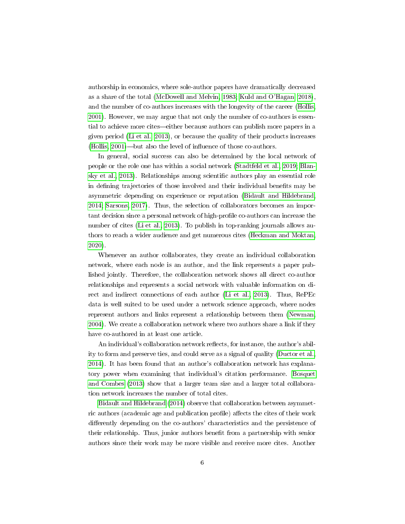authorship in economics, where sole-author papers have dramatically decreased as a share of the total [\(McDowell and Melvin, 1983;](#page-22-8) [Kuld and O'Hagan, 2018\)](#page-21-6), and the number of co-authors increases with the longevity of the career [\(Hollis,](#page-21-7) [2001\)](#page-21-7). However, we may argue that not only the number of co-authors is essential to achieve more cites—either because authors can publish more papers in a given period [\(Li et al., 2013\)](#page-21-8), or because the quality of their products increases (Hollis,  $2001$ )—but also the level of influence of those co-authors.

In general, social success can also be determined by the local network of people or the role one has within a social network [\(Stadtfeld et al., 2019;](#page-23-4) [Blan](#page-20-7)[sky et al., 2013\)](#page-20-7). Relationships among scientific authors play an essential role in defining trajectories of those involved and their individual benefits may be asymmetric depending on experience or reputation [\(Bidault and Hildebrand,](#page-19-5) [2014;](#page-19-5) [Sarsons, 2017\)](#page-22-9). Thus, the selection of collaborators becomes an important decision since a personal network of high-profile co-authors can increase the number of cites [\(Li et al., 2013\)](#page-21-8). To publish in top-ranking journals allows authors to reach a wider audience and get numerous cites [\(Heckman and Moktan,](#page-21-9) [2020\)](#page-21-9).

Whenever an author collaborates, they create an individual collaboration network, where each node is an author, and the link represents a paper published jointly. Therefore, the collaboration network shows all direct co-author relationships and represents a social network with valuable information on direct and indirect connections of each author [\(Li et al., 2013\)](#page-21-8). Thus, RePEc data is well suited to be used under a network science approach, where nodes represent authors and links represent a relationship between them [\(Newman,](#page-22-10) [2004\)](#page-22-10). We create a collaboration network where two authors share a link if they have co-authored in at least one article.

An individual's collaboration network reflects, for instance, the author's ability to form and preserve ties, and could serve as a signal of quality [\(Ductor et al.,](#page-20-8) [2014\)](#page-20-8). It has been found that an author's collaboration network has explanatory power when examining that individual's citation performance. [Bosquet](#page-20-9) [and Combes](#page-20-9) [\(2013\)](#page-20-9) show that a larger team size and a larger total collaboration network increases the number of total cites.

[Bidault and Hildebrand](#page-19-5) [\(2014\)](#page-19-5) observe that collaboration between asymmetric authors (academic age and publication profile) affects the cites of their work differently depending on the co-authors' characteristics and the persistence of their relationship. Thus, junior authors benefit from a partnership with senior authors since their work may be more visible and receive more cites. Another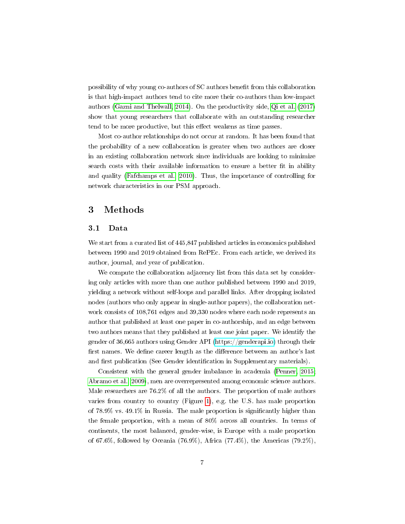possibility of why young co-authors of SC authors benefit from this collaboration is that high-impact authors tend to cite more their co-authors than low-impact authors [\(Gazni and Thelwall, 2014\)](#page-20-10). On the productivity side, [Qi et al.](#page-22-11) [\(2017\)](#page-22-11) show that young researchers that collaborate with an outstanding researcher tend to be more productive, but this effect weakens as time passes.

Most co-author relationships do not occur at random. It has been found that the probability of a new collaboration is greater when two authors are closer in an existing collaboration network since individuals are looking to minimize search costs with their available information to ensure a better fit in ability and quality [\(Fafchamps et al., 2010\)](#page-20-11). Thus, the importance of controlling for network characteristics in our PSM approach.

## <span id="page-7-0"></span>3 Methods

#### 3.1 Data

We start from a curated list of 445,847 published articles in economics published between 1990 and 2019 obtained from RePEc. From each article, we derived its author, journal, and year of publication.

We compute the collaboration adjacency list from this data set by considering only articles with more than one author published between 1990 and 2019, yielding a network without self-loops and parallel links. After dropping isolated nodes (authors who only appear in single-author papers), the collaboration network consists of 108,761 edges and 39,330 nodes where each node represents an author that published at least one paper in co-authorship, and an edge between two authors means that they published at least one joint paper. We identify the gender of 36,665 authors using Gender API [\(https://genderapi.io\)](https://genderapi.io) through their first names. We define career length as the difference between an author's last and first publication (See Gender identification in Supplementary materials).

Consistent with the general gender imbalance in academia [\(Penner, 2015;](#page-22-12) [Abramo et al., 2009\)](#page-19-6), men are overrepresented among economic science authors. Male researchers are 76.2% of all the authors. The proportion of male authors varies from country to country (Figure [1\)](#page-8-0), e.g. the U.S. has male proportion of  $78.9\%$  vs.  $49.1\%$  in Russia. The male proportion is significantly higher than the female proportion, with a mean of 80% across all countries. In terms of continents, the most balanced, gender-wise, is Europe with a male proportion of 67.6%, followed by Oceania (76.9%), Africa (77.4%), the Americas (79.2%),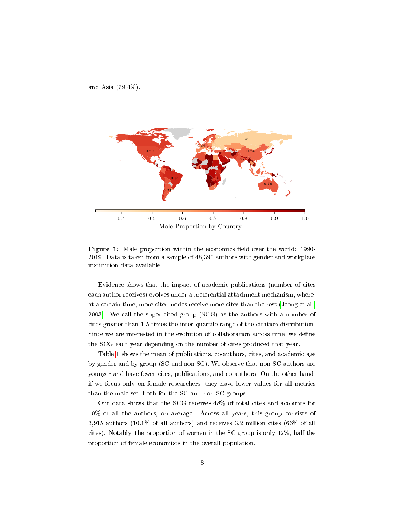<span id="page-8-0"></span>and Asia (79.4%).



Figure 1: Male proportion within the economics field over the world: 1990-2019. Data is taken from a sample of 48,390 authors with gender and workplace institution data available.

Evidence shows that the impact of academic publications (number of cites each author receives) evolves under a preferential attachment mechanism, where, at a certain time, more cited nodes receive more cites than the rest [\(Jeong et al.,](#page-21-10) [2003\)](#page-21-10). We call the super-cited group (SCG) as the authors with a number of cites greater than 1.5 times the inter-quartile range of the citation distribution. Since we are interested in the evolution of collaboration across time, we define the SCG each year depending on the number of cites produced that year.

Table [1](#page-9-0) shows the mean of publications, co-authors, cites, and academic age by gender and by group (SC and non SC). We observe that non-SC authors are younger and have fewer cites, publications, and co-authors. On the other hand, if we focus only on female researchers, they have lower values for all metrics than the male set, both for the SC and non SC groups.

Our data shows that the SCG receives 48% of total cites and accounts for 10% of all the authors, on average. Across all years, this group consists of 3,915 authors (10.1% of all authors) and receives 3.2 million cites (66% of all cites). Notably, the proportion of women in the SC group is only 12%, half the proportion of female economists in the overall population.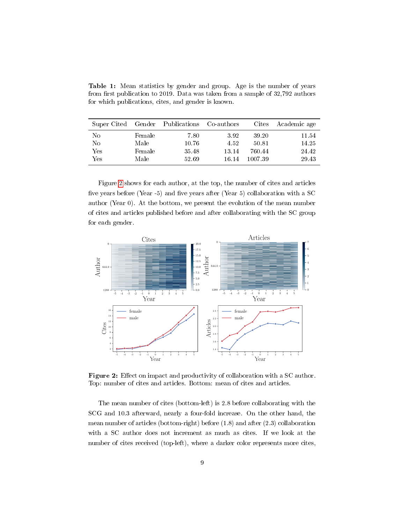Table 1: Mean statistics by gender and group. Age is the number of years from first publication to 2019. Data was taken from a sample of  $32,792$  authors for which publications, cites, and gender is known.

<span id="page-9-0"></span>

| Super Cited |        | Gender Publications | Co-authors | Cites   | Academic age |
|-------------|--------|---------------------|------------|---------|--------------|
| No          | Female | 7.80                | 3.92       | 39.20   | 11.54        |
| No          | Male   | 10.76               | 4.52       | 50.81   | 14.25        |
| Yes         | Female | 35.48               | 13.14      | 760.44  | 24.42        |
| Yes         | Male   | 52.69               | 16.14      | 1007.39 | 29.43        |

Figure [2](#page-9-1) shows for each author, at the top, the number of cites and articles five years before (Year -5) and five years after (Year 5) collaboration with a SC author (Year 0). At the bottom, we present the evolution of the mean number of cites and articles published before and after collaborating with the SC group for each gender.

<span id="page-9-1"></span>

Figure 2: Effect on impact and productivity of collaboration with a SC author. Top: number of cites and articles. Bottom: mean of cites and articles.

The mean number of cites (bottom-left) is 2.8 before collaborating with the SCG and 10.3 afterward, nearly a four-fold increase. On the other hand, the mean number of articles (bottom-right) before (1.8) and after (2.3) collaboration with a SC author does not increment as much as cites. If we look at the number of cites received (top-left), where a darker color represents more cites,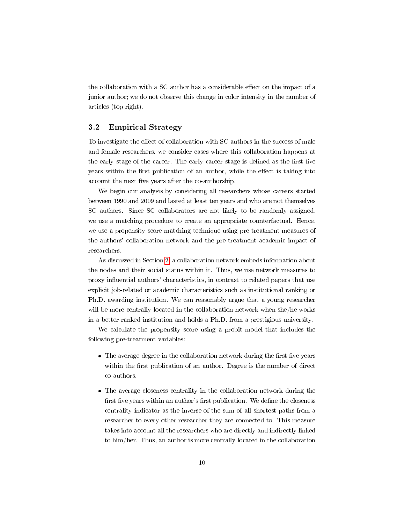the collaboration with a SC author has a considerable effect on the impact of a junior author; we do not observe this change in color intensity in the number of articles (top-right).

#### 3.2 Empirical Strategy

To investigate the effect of collaboration with SC authors in the success of male and female researchers, we consider cases where this collaboration happens at the early stage of the career. The early career stage is defined as the first five years within the first publication of an author, while the effect is taking into account the next five years after the co-authorship.

We begin our analysis by considering all researchers whose careers started between 1990 and 2009 and lasted at least ten years and who are not themselves SC authors. Since SC collaborators are not likely to be randomly assigned, we use a matching procedure to create an appropriate counterfactual. Hence, we use a propensity score matching technique using pre-treatment measures of the authors' collaboration network and the pre-treatment academic impact of researchers.

As discussed in Section [2,](#page-5-0) a collaboration network embeds information about the nodes and their social status within it. Thus, we use network measures to proxy influential authors' characteristics, in contrast to related papers that use explicit job-related or academic characteristics such as institutional ranking or Ph.D. awarding institution. We can reasonably argue that a young researcher will be more centrally located in the collaboration network when she/he works in a better-ranked institution and holds a Ph.D. from a prestigious university.

We calculate the propensity score using a probit model that includes the following pre-treatment variables:

- $\bullet$  The average degree in the collaboration network during the first five years within the first publication of an author. Degree is the number of direct co-authors.
- The average closeness centrality in the collaboration network during the first five years within an author's first publication. We define the closeness centrality indicator as the inverse of the sum of all shortest paths from a researcher to every other researcher they are connected to. This measure takes into account all the researchers who are directly and indirectly linked to him/her. Thus, an author is more centrally located in the collaboration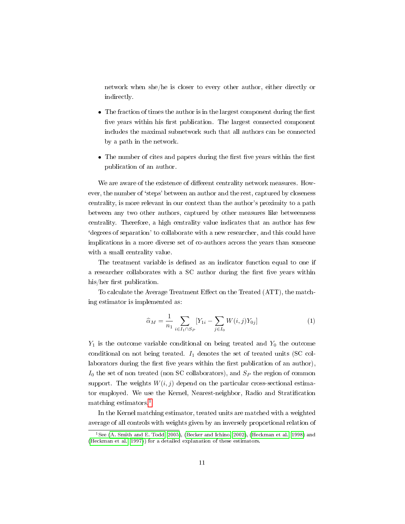network when she/he is closer to every other author, either directly or indirectly.

- $\bullet$  The fraction of times the author is in the largest component during the first five years within his first publication. The largest connected component includes the maximal subnetwork such that all authors can be connected by a path in the network.
- $\bullet$  The number of cites and papers during the first five years within the first publication of an author.

We are aware of the existence of different centrality network measures. However, the number of 'steps' between an author and the rest, captured by closeness centrality, is more relevant in our context than the author's proximity to a path between any two other authors, captured by other measures like betweenness centrality. Therefore, a high centrality value indicates that an author has few `degrees of separation' to collaborate with a new researcher, and this could have implications in a more diverse set of co-authors across the years than someone with a small centrality value.

The treatment variable is defined as an indicator function equal to one if a researcher collaborates with a SC author during the first five years within  $his/her$  first publication.

To calculate the Average Treatment Effect on the Treated (ATT), the matching estimator is implemented as:

$$
\widehat{\alpha}_M = \frac{1}{n_1} \sum_{i \in I_1 \cap S_P} [Y_{1i} - \sum_{j \in I_0} W(i,j) Y_{0j}] \tag{1}
$$

 $Y_1$  is the outcome variable conditional on being treated and  $Y_0$  the outcome conditional on not being treated.  $I_1$  denotes the set of treated units (SC collaborators during the first five years within the first publication of an author),  $I_0$  the set of non treated (non SC collaborators), and  $S_P$  the region of common support. The weights  $W(i, j)$  depend on the particular cross-sectional estimator employed. We use the Kernel, Nearest-neighbor, Radio and Stratification matching estimators.<sup>[1](#page-11-0)</sup>

In the Kernel matching estimator, treated units are matched with a weighted average of all controls with weights given by an inversely proportional relation of

<span id="page-11-0"></span><sup>1</sup>See [\(A. Smith and E. Todd, 2005\)](#page-19-7), [\(Becker and Ichino, 2002\)](#page-19-8), [\(Heckman et al., 1998\)](#page-21-11) and [\(Heckman et al., 1997\)](#page-21-12)) for a detailed explanation of these estimators.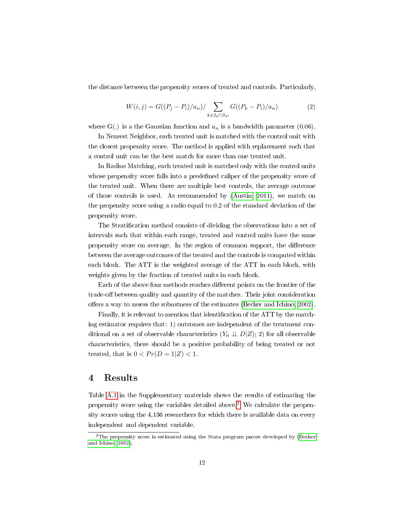the distance between the propensity scores of treated and controls. Particularly,

$$
W(i,j) = G((P_j - P_i)/a_n) / \sum_{k \in I_0 \cap S_P} G((P_k - P_i)/a_n)
$$
 (2)

where G(.) is a the Gaussian function and  $a_n$  is a bandwidth parameter (0.06).

In Nearest Neighbor, each treated unit is matched with the control unit with the closest propensity score. The method is applied with replacement such that a control unit can be the best match for more than one treated unit.

In Radius Matching, each treated unit is matched only with the control units whose propensity score falls into a predefined caliper of the propensity score of the treated unit. When there are multiple best controls, the average outcome of those controls is used. As recommended by [\(Austin, 2011\)](#page-19-9), we match on the propensity score using a radio equal to 0.2 of the standard deviation of the propensity score.

The Stratification method consists of dividing the observations into a set of intervals such that within each range, treated and control units have the same propensity score on average. In the region of common support, the difference between the average outcomes of the treated and the controls is computed within each block. The ATT is the weighted average of the ATT in each block, with weights given by the fraction of treated units in each block.

Each of the above four methods reaches different points on the frontier of the trade-off between quality and quantity of the matches. Their joint consideration offers a way to assess the robustness of the estimates (Becker and Ichino,  $2002$ ).

Finally, it is relevant to mention that identification of the ATT by the matching estimator requires that: 1) outcomes are independent of the treatment conditional on a set of observable characteristics  $(Y_0 \perp \!\!\!\perp D|Z)$ ; 2) for all observable characteristics, there should be a positive probability of being treated or not treated, that is  $0 < Pr(D = 1|Z) < 1$ .

## <span id="page-12-0"></span>4 Results

Table [A.1](#page-25-0) in the Supplementary materials shows the results of estimating the propensity score using the variables detailed above.[2](#page-12-1) We calculate the propensity scores using the 4,136 researchers for which there is available data on every independent and dependent variable.

<span id="page-12-1"></span> $\rm ^2$ The propensity score is estimated using the Stata program pscore developed by [\(Becker](#page-19-8) [and Ichino, 2002\)](#page-19-8).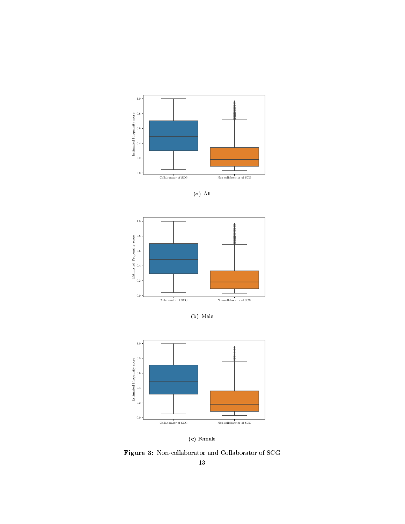<span id="page-13-0"></span>





(b) Male





Figure 3: Non-collaborator and Collaborator of SCG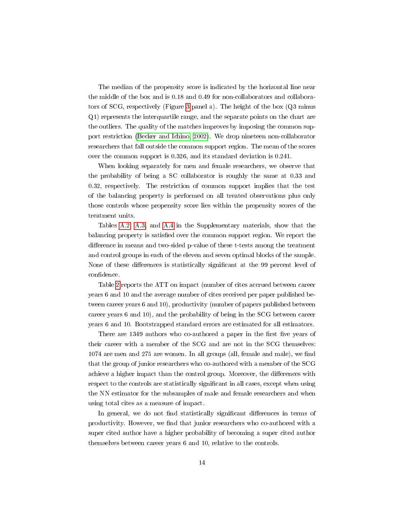The median of the propensity score is indicated by the horizontal line near the middle of the box and is 0.18 and 0.49 for non-collaborators and collaborators of SCG, respectively (Figure [3](#page-13-0) panel a). The height of the box (Q3 minus Q1) represents the interquartile range, and the separate points on the chart are the outliers. The quality of the matches improves by imposing the common support restriction [\(Becker and Ichino, 2002\)](#page-19-8). We drop nineteen non-collaborator researchers that fall outside the common support region. The mean of the scores over the common support is 0.326, and its standard deviation is 0.241.

When looking separately for men and female researchers, we observe that the probability of being a SC collaborator is roughly the same at 0.33 and 0.32, respectively. The restriction of common support implies that the test of the balancing property is performed on all treated observations plus only those controls whose propensity score lies within the propensity scores of the treatment units.

Tables [A.2,](#page-26-0) [A.3,](#page-27-0) and [A.4](#page-28-0) in the Supplementary materials, show that the balancing property is satisfied over the common support region. We report the difference in means and two-sided p-value of these t-tests among the treatment and control groups in each of the eleven and seven optimal blocks of the sample. None of these differences is statistically significant at the 99 percent level of confidence.

Table [2](#page-16-0) reports the ATT on impact (number of cites accrued between career years 6 and 10 and the average number of cites received per paper published between career years 6 and 10), productivity (number of papers published between career years 6 and 10), and the probability of being in the SCG between career years 6 and 10. Bootstrapped standard errors are estimated for all estimators.

There are 1349 authors who co-authored a paper in the first five years of their career with a member of the SCG and are not in the SCG themselves:  $1074$  are men and  $275$  are women. In all groups (all, female and male), we find that the group of junior researchers who co-authored with a member of the SCG achieve a higher impact than the control group. Moreover, the differences with respect to the controls are statistically significant in all cases, except when using the NN estimator for the subsamples of male and female researchers and when using total cites as a measure of impact.

In general, we do not find statistically significant differences in terms of productivity. However, we nd that junior researchers who co-authored with a super cited author have a higher probability of becoming a super cited author themselves between career years 6 and 10, relative to the controls.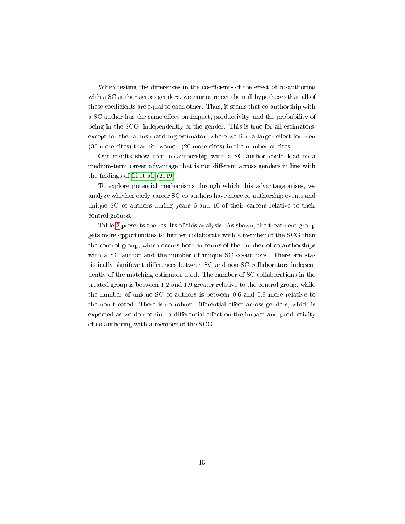When testing the differences in the coefficients of the effect of co-authoring with a SC author across genders, we cannot reject the null hypotheses that all of these coefficients are equal to each other. Thus, it seems that co-authorship with a SC author has the same effect on impact, productivity, and the probability of being in the SCG, independently of the gender. This is true for all estimators, except for the radius matching estimator, where we find a larger effect for men (30 more cites) than for women (20 more cites) in the number of cites.

Our results show that co-authorship with a SC author could lead to a medium-term career advantage that is not different across genders in line with the findings of [Li et al.](#page-21-5)  $(2019)$ .

To explore potential mechanisms through which this advantage arises, we analyze whether early-career SC co-authors have more co-authorship events and unique SC co-authors during years 6 and 10 of their careers relative to their control groups.

Table [3](#page-17-0) presents the results of this analysis. As shown, the treatment group gets more opportunities to further collaborate with a member of the SCG than the control group, which occurs both in terms of the number of co-authorships with a SC author and the number of unique SC co-authors. There are statistically significant differences between SC and non-SC collaborators independently of the matching estimator used. The number of SC collaborations in the treated group is between 1.2 and 1.9 greater relative to the control group, while the number of unique SC co-authors is between 0.6 and 0.9 more relative to the non-treated. There is no robust differential effect across genders, which is expected as we do not find a differential effect on the impact and productivity of co-authoring with a member of the SCG.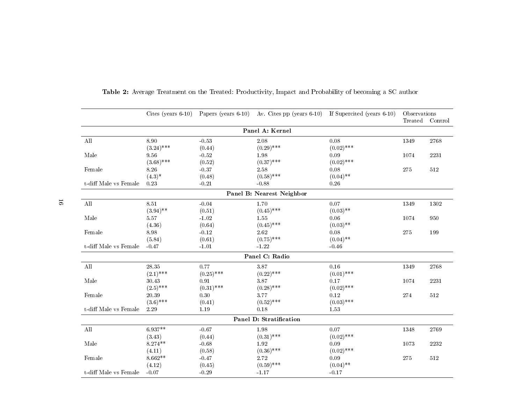<span id="page-16-0"></span>

|                             |              |              | Cites (years $6-10$ ) Papers (years $6-10$ ) Av. Cites pp (years $6-10$ ) If Supercited (years $6-10$ ) |              | Observations | Treated Control |
|-----------------------------|--------------|--------------|---------------------------------------------------------------------------------------------------------|--------------|--------------|-----------------|
|                             |              |              | Panel A: Kernel                                                                                         |              |              |                 |
| $\mathop{\rm All}\nolimits$ | 8.90         | $-0.53$      | 2.08                                                                                                    | 0.08         | 1349         | 2768            |
|                             | $(3.24)$ *** | (0.44)       | $(0.29)$ ***                                                                                            | $(0.02)$ *** |              |                 |
| Male                        | 9.56         | $-0.52$      | 1.98                                                                                                    | 0.09         | 1074         | 2231            |
|                             | $(3.68)$ *** | (0.52)       | $(0.37)$ ***                                                                                            | $(0.02)$ *** |              |                 |
| Female                      | 8.26         | $-0.37$      | 2.58                                                                                                    | 0.08         | 275          | 512             |
|                             | $(4.3)^*$    | (0.48)       | $(0.58)$ ***                                                                                            | $(0.04)$ **  |              |                 |
| t-diff Male vs Female       | 0.23         | $-0.21$      | $-0.88$                                                                                                 | 0.26         |              |                 |
|                             |              |              | Panel B: Nearest Neighbor                                                                               |              |              |                 |
| ${\rm All}$                 | 8.51         | $-0.04$      | 1.70                                                                                                    | $0.07\,$     | 1349         | 1302            |
|                             | $(3.94)$ **  | (0.51)       | $(0.45)$ ***                                                                                            | $(0.03)$ **  |              |                 |
| Male                        | $5.57\,$     | $-1.02$      | $1.55\,$                                                                                                | $0.06\,$     | 1074         | 950             |
|                             | (4.36)       | (0.64)       | $(0.45)$ ***                                                                                            | $(0.03)$ **  |              |                 |
| Female                      | 8.98         | $-0.12$      | $2.62\,$                                                                                                | $0.08\,$     | 275          | 199             |
|                             | (5.84)       | (0.61)       | $(0.75)$ ***                                                                                            | $(0.04)$ **  |              |                 |
| t-diff Male vs Female       | $-0.47$      | $-1.01$      | $-1.22$                                                                                                 | $-0.46$      |              |                 |
|                             |              |              | Panel C: Radio                                                                                          |              |              |                 |
| All                         | $28.35\,$    | 0.77         | 3.87                                                                                                    | 0.16         | 1349         | 2768            |
|                             | $(2.1)$ ***  | $(0.25)$ *** | $(0.22)$ ***                                                                                            | $(0.01)$ *** |              |                 |
| Male                        | 30.43        | 0.91         | 3.87                                                                                                    | $0.17\,$     | 1074         | 2231            |
|                             | $(2.5)$ ***  | $(0.31)$ *** | $(0.28)$ ***                                                                                            | $(0.02)$ *** |              |                 |
| Female                      | 20.39        | 0.30         | 3.77                                                                                                    | 0.12         | 274          | 512             |
|                             | $(3.6)$ ***  | (0.41)       | $(0.52)$ ***                                                                                            | $(0.03)$ *** |              |                 |
| t-diff Male vs Female       | 2.29         | 1.19         | 0.18                                                                                                    | 1.53         |              |                 |
|                             |              |              | <b>Panel D: Stratification</b>                                                                          |              |              |                 |
| ${\rm All}$                 | $6.937**$    | $-0.67$      | 1.98                                                                                                    | $0.07\,$     | 1348         | 2769            |
|                             | (3.43)       | (0.44)       | $(0.31)$ ***                                                                                            | $(0.02)$ *** |              |                 |
| Male                        | $8.274**$    | $-0.68$      | $1.92\,$                                                                                                | $0.09\,$     | 1073         | 2232            |
|                             | (4.11)       | (0.58)       | $(0.36)$ ***                                                                                            | $(0.02)$ *** |              |                 |
| Female                      | $8.662**$    | $-0.47$      | 2.72                                                                                                    | $0.09\,$     | $275\,$      | 512             |
|                             | (4.12)       | (0.45)       | $(0.59)$ ***                                                                                            | $(0.04)$ **  |              |                 |
| t-diff Male vs Female       | $-0.07$      | $-0.29$      | $-1.17$                                                                                                 | $-0.17$      |              |                 |

Table 2: Average Treatment on the Treated: Productivity, Impact and Probability of becoming <sup>a</sup> SC author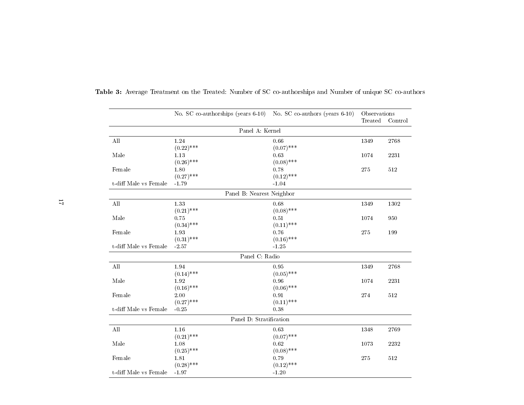|                       | No. SC co-authorships (years 6-10) No. SC co-authors (years 6-10) |              | Observations |         |
|-----------------------|-------------------------------------------------------------------|--------------|--------------|---------|
|                       |                                                                   |              | Treated      | Control |
|                       | Panel A: Kernel                                                   |              |              |         |
| All                   | 1.24                                                              | 0.66         | 1349         | 2768    |
|                       | $(0.22)$ ***                                                      | $(0.07)$ *** |              |         |
| Male                  | 1.13                                                              | 0.63         | 1074         | 2231    |
|                       | $(0.26)$ ***                                                      | $(0.08)$ *** |              |         |
| Female                | 1.80                                                              | 0.78         | 275          | 512     |
|                       | $(0.27)$ ***                                                      | $(0.12)$ *** |              |         |
| t-diff Male vs Female | $-1.79$                                                           | $-1.04$      |              |         |
|                       | Panel B: Nearest Neighbor                                         |              |              |         |
| All                   | 1.33                                                              | 0.68         | 1349         | 1302    |
|                       | $(0.21)$ ***                                                      | $(0.08)$ *** |              |         |
| Male                  | $0.75\,$                                                          | $0.51\,$     | 1074         | 950     |
|                       | $(0.34)$ ***                                                      | $(0.11)$ *** |              |         |
| Female                | 1.93                                                              | 0.76         | 275          | 199     |
|                       | $(0.31)$ ***                                                      | $(0.16)$ *** |              |         |
| t-diff Male vs Female | $-2.57$                                                           | $-1.25$      |              |         |
|                       | Panel C: Radio                                                    |              |              |         |
| ${\rm All}$           | $1.94\,$                                                          | 0.95         | 1349         | 2768    |
|                       | $(0.14)$ ***                                                      | $(0.05)$ *** |              |         |
| Male                  | 1.92                                                              | 0.96         | 1074         | 2231    |
|                       | $(0.16)$ ***                                                      | $(0.06)$ *** |              |         |
| Female                | 2.00                                                              | $\rm 0.91$   | 274          | 512     |
|                       | $(0.27)$ ***                                                      | $(0.11)$ *** |              |         |
| t-diff Male vs Female | $-0.25$                                                           | 0.38         |              |         |
|                       | Panel D: Stratification                                           |              |              |         |
| All                   | 1.16                                                              | 0.63         | 1348         | 2769    |
|                       | $(0.21)$ ***                                                      | $(0.07)$ *** |              |         |
| Male                  | 1.08                                                              | 0.62         | 1073         | 2232    |
|                       | $(0.25)$ ***                                                      | $(0.08)$ *** |              |         |
| Female                | 1.81                                                              | 0.79         | 275          | 512     |
|                       | $(0.28)$ ***                                                      | $(0.12)$ *** |              |         |
| t-diff Male vs Female | $-1.97$                                                           | $-1.20$      |              |         |

<span id="page-17-0"></span>Table 3: Average Treatment on the Treated: Number of SC co-authorships and Number of unique SC co-authors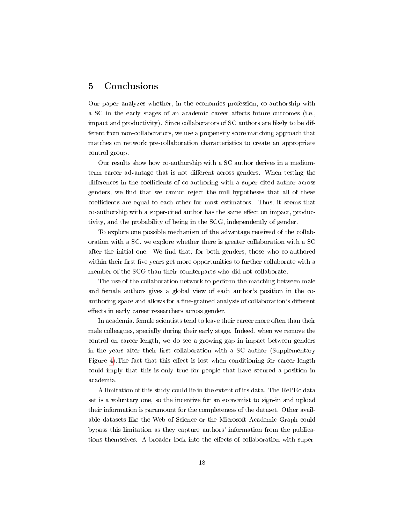## <span id="page-18-0"></span>5 Conclusions

Our paper analyzes whether, in the economics profession, co-authorship with a SC in the early stages of an academic career affects future outcomes (i.e., impact and productivity). Since collaborators of SC authors are likely to be different from non-collaborators, we use a propensity score matching approach that matches on network pre-collaboration characteristics to create an appropriate control group.

Our results show how co-authorship with a SC author derives in a mediumterm career advantage that is not different across genders. When testing the differences in the coefficients of co-authoring with a super cited author across genders, we find that we cannot reject the null hypotheses that all of these coefficients are equal to each other for most estimators. Thus, it seems that co-authorship with a super-cited author has the same effect on impact, productivity, and the probability of being in the SCG, independently of gender.

To explore one possible mechanism of the advantage received of the collaboration with a SC, we explore whether there is greater collaboration with a SC after the initial one. We find that, for both genders, those who co-authored within their first five years get more opportunities to further collaborate with a member of the SCG than their counterparts who did not collaborate.

The use of the collaboration network to perform the matching between male and female authors gives a global view of each author's position in the coauthoring space and allows for a fine-grained analysis of collaboration's different effects in early career researchers across gender.

In academia, female scientists tend to leave their career more often than their male colleagues, specially during their early stage. Indeed, when we remove the control on career length, we do see a growing gap in impact between genders in the years after their first collaboration with a SC author (Supplementary Figure [4\)](#page-24-0). The fact that this effect is lost when conditioning for career length could imply that this is only true for people that have secured a position in academia.

A limitation of this study could lie in the extent of its data. The RePEc data set is a voluntary one, so the incentive for an economist to sign-in and upload their information is paramount for the completeness of the dataset. Other available datasets like the Web of Science or the Microsoft Academic Graph could bypass this limitation as they capture authors' information from the publications themselves. A broader look into the effects of collaboration with super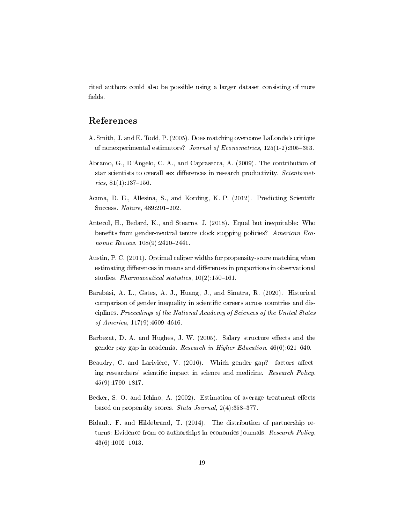cited authors could also be possible using a larger dataset consisting of more fields.

## References

- <span id="page-19-7"></span>A. Smith, J. and E. Todd, P. (2005). Does matching overcome LaLonde's critique of nonexperimental estimators? Journal of Econometrics,  $125(1-2):305-353$ .
- <span id="page-19-6"></span>Abramo, G., D'Angelo, C. A., and Caprasecca, A. (2009). The contribution of star scientists to overall sex differences in research productivity. Scientomet $rics, 81(1): 137-156.$
- <span id="page-19-3"></span>Acuna, D. E., Allesina, S., and Kording, K. P. (2012). Predicting Scientific Success. Nature,  $489:201-202$ .
- <span id="page-19-4"></span>Antecol, H., Bedard, K., and Stearns, J. (2018). Equal but inequitable: Who benefits from gender-neutral tenure clock stopping policies? American Economic Review,  $108(9):2420-2441$ .
- <span id="page-19-9"></span>Austin, P. C. (2011). Optimal caliper widths for propensity-score matching when estimating differences in means and differences in proportions in observational studies. Pharmaceutical statistics,  $10(2):150-161$ .
- <span id="page-19-2"></span>Barabási, A. L., Gates, A. J., Huang, J., and Sinatra, R. (2020). Historical comparison of gender inequality in scientific careers across countries and disciplines. Proceedings of the National Academy of Sciences of the United States of America,  $117(9)$ : 4609-4616.
- <span id="page-19-0"></span>Barbezat, D. A. and Hughes, J. W. (2005). Salary structure effects and the gender pay gap in academia. Research in Higher Education,  $46(6)$ :621–640.
- <span id="page-19-1"></span>Beaudry, C. and Larivière, V. (2016). Which gender gap? factors affecting researchers' scientific impact in science and medicine. Research Policy, 45(9):1790-1817.
- <span id="page-19-8"></span>Becker, S. O. and Ichino, A.  $(2002)$ . Estimation of average treatment effects based on propensity scores. Stata Journal,  $2(4)$ : 358-377.
- <span id="page-19-5"></span>Bidault, F. and Hildebrand, T. (2014). The distribution of partnership returns: Evidence from co-authorships in economics journals. Research Policy,  $43(6):1002-1013.$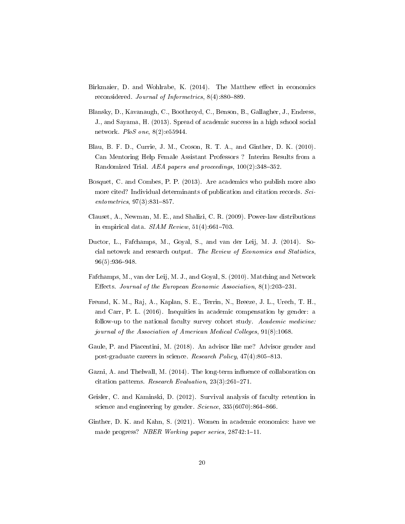- <span id="page-20-6"></span>Birkmaier, D. and Wohlrabe, K. (2014). The Matthew effect in economics reconsidered. Journal of Informetrics,  $8(4)$ :  $880-889$ .
- <span id="page-20-7"></span>Blansky, D., Kavanaugh, C., Boothroyd, C., Benson, B., Gallagher, J., Endress, J., and Sayama, H. (2013). Spread of academic success in a high school social network. PloS one, 8(2):e55944.
- <span id="page-20-1"></span>Blau, B. F. D., Currie, J. M., Croson, R. T. A., and Ginther, D. K. (2010). Can Mentoring Help Female Assistant Professors ? Interim Results from a Randomized Trial. AEA papers and proceedings,  $100(2):348-352$ .
- <span id="page-20-9"></span>Bosquet, C. and Combes, P. P. (2013). Are academics who publish more also more cited? Individual determinants of publication and citation records. Sci $entometrics, 97(3):831–857.$
- <span id="page-20-3"></span>Clauset, A., Newman, M. E., and Shalizi, C. R. (2009). Power-law distributions in empirical data.  $SIAM$  Review,  $51(4):661-703$ .
- <span id="page-20-8"></span>Ductor, L., Fafchamps, M., Goyal, S., and van der Leij, M. J. (2014). Social netowrk and research output. The Review of Economics and Statistics, 96(5):936-948.
- <span id="page-20-11"></span>Fafchamps, M., van der Leij, M. J., and Goyal, S. (2010). Matching and Network Effects. Journal of the European Economic Association,  $8(1):203-231$ .
- <span id="page-20-0"></span>Freund, K. M., Raj, A., Kaplan, S. E., Terrin, N., Breeze, J. L., Urech, T. H., and Carr, P. L. (2016). Inequities in academic compensation by gender: a follow-up to the national faculty survey cohort study. Academic medicine: journal of the Association of American Medical Colleges, 91(8):1068.
- <span id="page-20-5"></span>Gaule, P. and Piacentini, M. (2018). An advisor like me? Advisor gender and post-graduate careers in science. Research Policy,  $47(4):805-813$ .
- <span id="page-20-10"></span>Gazni, A. and Thelwall, M. (2014). The long-term influence of collaboration on citation patterns. Research Evaluation,  $23(3):261-271$ .
- <span id="page-20-4"></span>Geisler, C. and Kaminski, D. (2012). Survival analysis of faculty retention in science and engineering by gender.  $Science$ ,  $335(6070):864-866$ .
- <span id="page-20-2"></span>Ginther, D. K. and Kahn, S. (2021). Women in academic economics: have we made progress? NBER Working paper series,  $28742:1-11$ .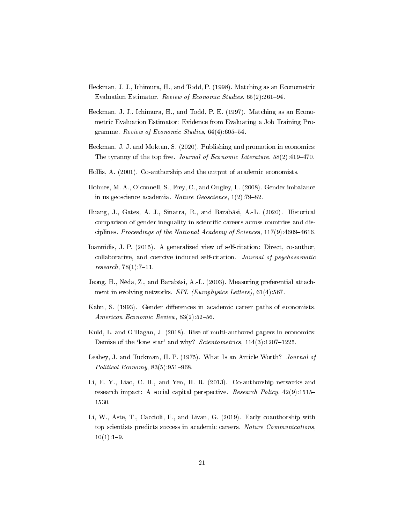- <span id="page-21-11"></span>Heckman, J. J., Ichimura, H., and Todd, P. (1998). Matching as an Econometric Evaluation Estimator. Review of Economic Studies,  $65(2):261-94$ .
- <span id="page-21-12"></span>Heckman, J. J., Ichimura, H., and Todd, P. E. (1997). Matching as an Econometric Evaluation Estimator: Evidence from Evaluating a Job Training Programme. Review of Economic Studies,  $64(4)$ : $605-54$ .
- <span id="page-21-9"></span>Heckman, J. J. and Moktan, S. (2020). Publishing and promotion in economics: The tyranny of the top five. Journal of Economic Literature,  $58(2):419-470$ .
- <span id="page-21-7"></span>Hollis, A. (2001). Co-authorship and the output of academic economists.
- <span id="page-21-0"></span>Holmes, M. A., O'connell, S., Frey, C., and Ongley, L. (2008). Gender imbalance in us geoscience academia. Nature  $Ge$ oscience, 1(2):79-82.
- <span id="page-21-1"></span>Huang, J., Gates, A. J., Sinatra, R., and Barabási, A.-L. (2020). Historical comparison of gender inequality in scientific careers across countries and disciplines. Proceedings of the National Academy of Sciences,  $117(9)$ :4609-4616.
- <span id="page-21-4"></span>Ioannidis, J. P. (2015). A generalized view of self-citation: Direct, co-author, collaborative, and coercive induced self-citation. Journal of psychosomatic  $res\,erch, 78(1):7-11.$
- <span id="page-21-10"></span>Jeong, H., Néda, Z., and Barabási, A.-L. (2003). Measuring preferential attachment in evolving networks. EPL (Europhysics Letters), 61(4):567.
- <span id="page-21-3"></span>Kahn, S. (1993). Gender differences in academic career paths of economists. American Economic Review, 83(2):52-56.
- <span id="page-21-6"></span>Kuld, L. and O'Hagan, J. (2018). Rise of multi-authored papers in economics: Demise of the 'lone star' and why? Scientometrics,  $114(3):1207-1225$ .
- <span id="page-21-2"></span>Leahey, J. and Tuckman, H. P. (1975). What Is an Article Worth? Journal of Political Economy,  $83(5):951-968$ .
- <span id="page-21-8"></span>Li, E. Y., Liao, C. H., and Yen, H. R. (2013). Co-authorship networks and research impact: A social capital perspective. Research Policy, 42(9):1515 1530.
- <span id="page-21-5"></span>Li, W., Aste, T., Caccioli, F., and Livan, G. (2019). Early coauthorship with top scientists predicts success in academic careers. Nature Communications,  $10(1):1-9.$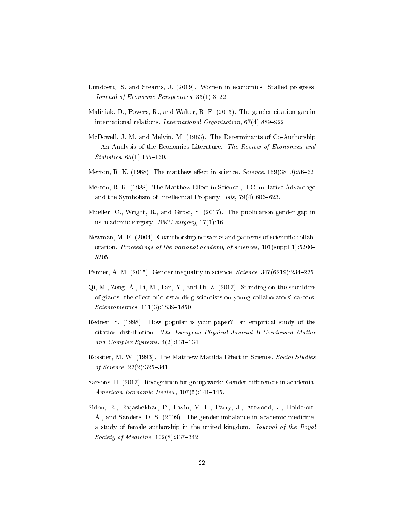- <span id="page-22-3"></span>Lundberg, S. and Stearns, J. (2019). Women in economics: Stalled progress. Journal of Economic Perspectives, 33(1): 3-22.
- <span id="page-22-2"></span>Maliniak, D., Powers, R., and Walter, B. F. (2013). The gender citation gap in international relations. International Organization,  $67(4)$ :889-922.
- <span id="page-22-8"></span>McDowell, J. M. and Melvin, M. (1983). The Determinants of Co-Authorship : An Analysis of the Economics Literature. The Review of Economics and  $Statistics, 65(1): 155-160.$
- <span id="page-22-5"></span>Merton, R. K. (1968). The matthew effect in science.  $Science$ ,  $159(3810):56-62$ .
- <span id="page-22-6"></span>Merton, R. K. (1988). The Matthew Effect in Science, II Cumulative Advantage and the Symbolism of Intellectual Property. *Isis*,  $79(4):606-623$ .
- <span id="page-22-1"></span>Mueller, C., Wright, R., and Girod, S. (2017). The publication gender gap in us academic surgery.  $BMC$  surgery,  $17(1):16$ .
- <span id="page-22-10"></span>Newman, M. E. (2004). Coauthorship networks and patterns of scientific collaboration. Proceedings of the national academy of sciences, 101(suppl 1):5200-5205.
- <span id="page-22-12"></span>Penner, A. M. (2015). Gender inequality in science.  $Science$ ,  $347(6219)$ :  $234-235$ .
- <span id="page-22-11"></span>Qi, M., Zeng, A., Li, M., Fan, Y., and Di, Z. (2017). Standing on the shoulders of giants: the effect of outstanding scientists on young collaborators' careers.  $Scientometrics, 111(3):1839-1850.$
- <span id="page-22-4"></span>Redner, S. (1998). How popular is your paper? an empirical study of the citation distribution. The European Physical Journal B-Condensed Matter and Complex Systems,  $4(2):131-134$ .
- <span id="page-22-7"></span>Rossiter, M. W. (1993). The Matthew Matilda Effect in Science. Social Studies of Science,  $23(2):325-341$ .
- <span id="page-22-9"></span>Sarsons, H. (2017). Recognition for group work: Gender differences in academia.  $American~Economic~Review, 107(5):141-145.$
- <span id="page-22-0"></span>Sidhu, R., Rajashekhar, P., Lavin, V. L., Parry, J., Attwood, J., Holdcroft, A., and Sanders, D. S. (2009). The gender imbalance in academic medicine: a study of female authorship in the united kingdom. Journal of the Royal Society of Medicine,  $102(8):337-342$ .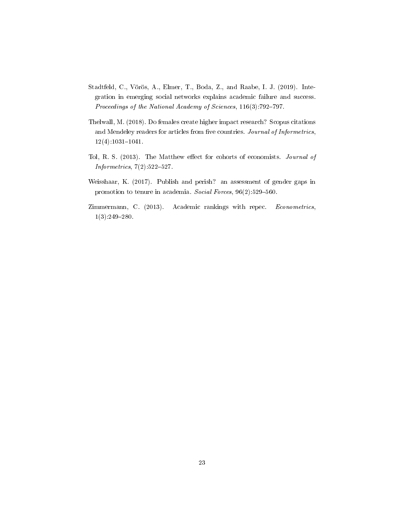- <span id="page-23-4"></span>Stadtfeld, C., Vörös, A., Elmer, T., Boda, Z., and Raabe, I. J. (2019). Integration in emerging social networks explains academic failure and success. Proceedings of the National Academy of Sciences,  $116(3)$ :792-797.
- <span id="page-23-1"></span>Thelwall, M. (2018). Do females create higher impact research? Scopus citations and Mendeley readers for articles from five countries. Journal of Informetrics,  $12(4):1031-1041.$
- <span id="page-23-3"></span>Tol, R. S. (2013). The Matthew effect for cohorts of economists. Journal of  $Informetics, 7(2):522-527.$
- <span id="page-23-0"></span>Weisshaar, K. (2017). Publish and perish? an assessment of gender gaps in promotion to tenure in academia. Social Forces, 96(2):529-560.
- <span id="page-23-2"></span>Zimmermann, C. (2013). Academic rankings with repec. Econometrics,  $1(3):249-280.$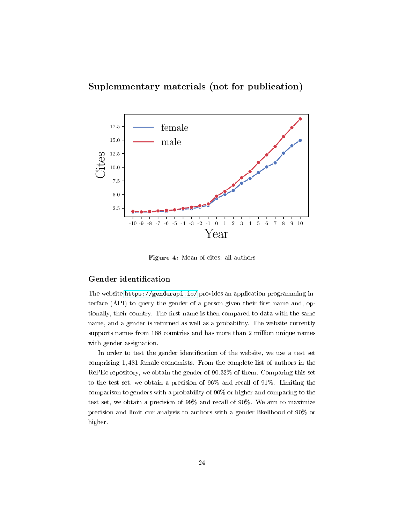## Suplemmentary materials (not for publication)

<span id="page-24-0"></span>

Figure 4: Mean of cites: all authors

#### Gender identification

The website <https://genderapi.io/> provides an application programming interface  $(API)$  to query the gender of a person given their first name and, optionally, their country. The first name is then compared to data with the same name, and a gender is returned as well as a probability. The website currently supports names from 188 countries and has more than 2 million unique names with gender assignation.

In order to test the gender identification of the website, we use a test set comprising 1, 481 female economists. From the complete list of authors in the RePEc repository, we obtain the gender of 90.32% of them. Comparing this set to the test set, we obtain a precision of 96% and recall of 91%. Limiting the comparison to genders with a probability of 90% or higher and comparing to the test set, we obtain a precision of 99% and recall of 90%. We aim to maximize precision and limit our analysis to authors with a gender likelihood of 90% or higher.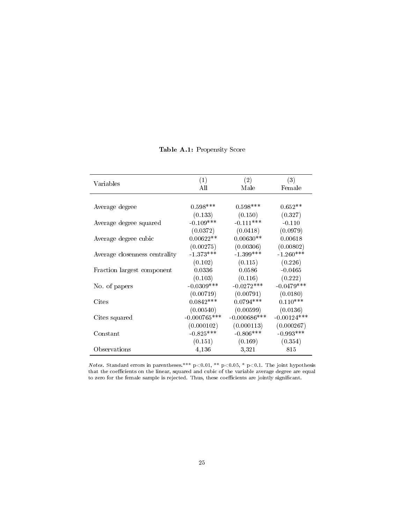<span id="page-25-0"></span>

| Variables                     | (1)<br>All      | (2)<br>Male     | (3)<br>Female |
|-------------------------------|-----------------|-----------------|---------------|
|                               |                 |                 |               |
| Average degree                | $0.598***$      | $0.598***$      | $0.652**$     |
|                               | (0.133)         | (0.150)         | (0.327)       |
| Average degree squared        | $-0.109***$     | $-0.111***$     | $-0.110$      |
|                               | (0.0372)        | (0.0418)        | (0.0979)      |
| Average degree cubic          | $0.00622**$     | $0.00630**$     | 0.00618       |
|                               | (0.00275)       | (0.00306)       | (0.00802)     |
| Average closenness centrality | $-1.373***$     | $-1.399***$     | $-1.260***$   |
|                               | (0.102)         | (0.115)         | (0.226)       |
| Fraction largest component    | 0.0336          | 0.0586          | $-0.0465$     |
|                               | (0.103)         | (0.116)         | (0.222)       |
| No. of papers                 | $-0.0309$ ***   | $-0.0272***$    | $-0.0479***$  |
|                               | (0.00719)       | (0.00791)       | (0.0180)      |
| Cites                         | $0.0842***$     | $0.0794***$     | $0.110***$    |
|                               | (0.00540)       | (0.00599)       | (0.0136)      |
| Cites squared                 | $-0.000765$ *** | $-0.000686$ *** | $-0.00124***$ |
|                               | (0.000102)      | (0.000113)      | (0.000267)    |
| Constant                      | $-0.825***$     | $-0.806***$     | $-0.993***$   |
|                               | (0.151)         | (0.169)         | (0.354)       |
| Observations                  | 4,136           | 3,321           | 815           |

Table A.1: Propensity Score

Notes. Standard errors in parentheses.\*\*\*  $p<0.01$ ,\*\*  $p<0.05$ ,\*  $p<0.1$ . The joint hypothesis that the coefficients on the linear, squared and cubic of the variable average degree are equal to zero for the female sample is rejected. Thus, these coefficients are jointly significant.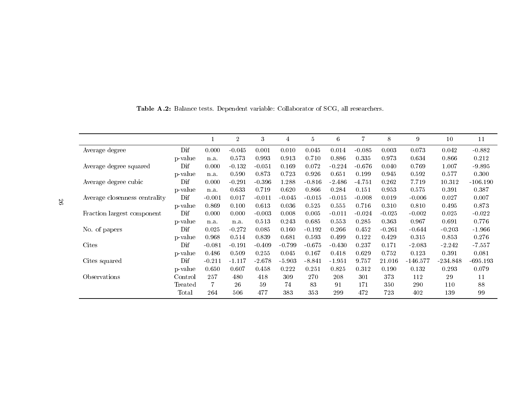|                               |         |          | $\overline{2}$ | 3        | 4        | $\bf 5$  | $\,6\,$  | $\overline{7}$ | 8        | 9          | 10         | 11         |
|-------------------------------|---------|----------|----------------|----------|----------|----------|----------|----------------|----------|------------|------------|------------|
| Average degree                | Dif     | 0.000    | $-0.045$       | 0.001    | 0.010    | 0.045    | 0.014    | $-0.085$       | 0.003    | 0.073      | 0.042      | $-0.882$   |
|                               | p-value | n.a.     | 0.573          | 0.993    | 0.913    | 0.710    | 0.886    | 0.335          | 0.973    | 0.634      | 0.866      | 0.212      |
| Average degree squared        | Dif     | 0.000    | $-0.132$       | $-0.051$ | 0.169    | 0.072    | $-0.224$ | $-0.676$       | 0.040    | 0.769      | 1.007      | $-9.895$   |
|                               | p-value | n.a.     | 0.590          | 0.873    | 0.723    | 0.926    | 0.651    | 0.199          | 0.945    | 0.592      | 0.577      | 0.300      |
| Average degree cubic          | Dif     | 0.000    | $-0.291$       | $-0.396$ | 1.288    | $-0.816$ | $-2.486$ | -4.751         | 0.262    | 7.719      | 10.312     | $-106.190$ |
|                               | p-value | n.a.     | 0.633          | 0.719    | 0.620    | 0.866    | 0.284    | 0.151          | 0.953    | 0.575      | 0.391      | 0.387      |
| Average closenness centrality | Dif     | $-0.001$ | 0.017          | $-0.011$ | $-0.045$ | $-0.015$ | $-0.015$ | $-0.008$       | 0.019    | $-0.006$   | 0.027      | 0.007      |
|                               | p-value | 0.869    | 0.100          | 0.613    | 0.036    | 0.525    | 0.555    | 0.716          | 0.310    | 0.810      | 0.495      | 0.873      |
| Fraction largest component    | Dif     | 0.000    | 0.000          | $-0.003$ | 0.008    | 0.005    | $-0.011$ | $-0.024$       | $-0.025$ | $-0.002$   | 0.025      | $-0.022$   |
|                               | p-value | n.a.     | n.a.           | 0.513    | 0.243    | 0.685    | 0.553    | 0.285          | 0.363    | 0.967      | 0.691      | 0.776      |
| No. of papers                 | Dif     | 0.025    | $-0.272$       | 0.085    | 0.160    | $-0.192$ | 0.266    | 0.452          | $-0.261$ | $-0.644$   | $-0.203$   | $-1.966$   |
|                               | p-value | 0.968    | 0.514          | 0.839    | 0.681    | 0.593    | 0.499    | 0.122          | 0.429    | 0.315      | 0.853      | 0.276      |
| Cites                         | Dif     | $-0.081$ | $-0.191$       | $-0.409$ | $-0.799$ | $-0.675$ | $-0.430$ | 0.237          | 0.171    | $-2.083$   | $-2.242$   | $-7.557$   |
|                               | p-value | 0.486    | 0.509          | 0.255    | 0.045    | 0.167    | 0.418    | 0.629          | 0.752    | 0.123      | 0.391      | 0.081      |
| Cites squared                 | Dif     | $-0.211$ | $-1.117$       | $-2.678$ | $-5.903$ | $-8.841$ | $-1.951$ | 9.757          | 21.016   | $-146.577$ | $-234.848$ | $-695.193$ |
|                               | p-value | 0.650    | 0.607          | 0.458    | 0.222    | 0.251    | 0.825    | 0.312          | 0.190    | 0.132      | 0.293      | 0.079      |
| Observations                  | Control | 257      | 480            | 418      | 309      | 270      | 208      | 301            | 373      | 112        | 29         | 11         |
|                               | Treated |          | 26             | 59       | 74       | 83       | 91       | 171            | 350      | 290        | 110        | 88         |
|                               | Total   | 264      | 506            | 477      | 383      | 353      | 299      | 472            | 723      | 402        | 139        | 99         |

<span id="page-26-0"></span>Table A.2: Balance tests. Dependent variable: Collaborator of SCG, all researchers.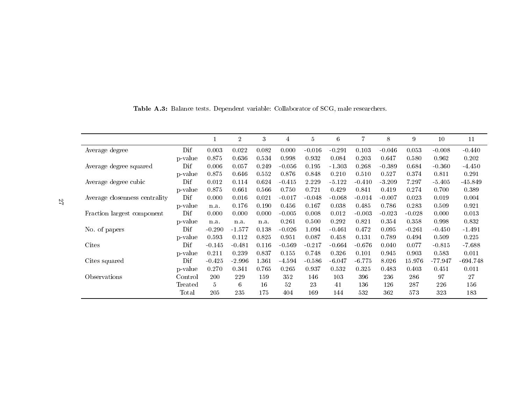<span id="page-27-0"></span>

|                               |         |                | $\overline{2}$ | 3     | 4        | $\overline{5}$ | 6        | 7        | 8        | 9        | 10        | 11         |
|-------------------------------|---------|----------------|----------------|-------|----------|----------------|----------|----------|----------|----------|-----------|------------|
| Average degree                | Dif     | 0.003          | 0.022          | 0.082 | 0.000    | $-0.016$       | $-0.291$ | 0.103    | $-0.046$ | 0.053    | $-0.008$  | $-0.440$   |
|                               | p-value | 0.875          | 0.636          | 0.534 | 0.998    | 0.932          | 0.084    | 0.203    | 0.647    | 0.580    | 0.962     | 0.202      |
| Average degree squared        | Dif     | 0.006          | 0.057          | 0.249 | $-0.056$ | 0.195          | $-1.303$ | 0.268    | $-0.389$ | 0.684    | $-0.360$  | $-4.450$   |
|                               | p-value | 0.875          | 0.646          | 0.552 | 0.876    | 0.848          | 0.210    | 0.510    | 0.527    | 0.374    | 0.811     | 0.291      |
| Average degree cubic          | Dif     | 0.012          | 0.114          | 0.624 | $-0.415$ | 2.229          | $-5.122$ | $-0.410$ | $-3.209$ | 7.297    | $-5.405$  | $-45.849$  |
|                               | p-value | 0.875          | 0.661          | 0.566 | 0.750    | 0.721          | 0.429    | 0.841    | 0.419    | 0.274    | 0.700     | 0.389      |
| Average closenness centrality | Dif     | 0.000          | 0.016          | 0.021 | $-0.017$ | $-0.048$       | $-0.068$ | $-0.014$ | $-0.007$ | 0.023    | 0.019     | 0.004      |
|                               | p-value | n.a.           | 0.176          | 0.190 | 0.456    | 0.167          | 0.038    | 0.485    | 0.786    | 0.283    | 0.509     | 0.921      |
| Fraction largest component    | Dif     | 0.000          | 0.000          | 0.000 | $-0.005$ | 0.008          | 0.012    | $-0.003$ | $-0.023$ | $-0.028$ | 0.000     | 0.013      |
|                               | p-value | n.a.           | n.a.           | n.a.  | 0.261    | 0.500          | 0.292    | 0.821    | 0.354    | 0.358    | 0.998     | 0.832      |
| No. of papers                 | Dif     | $-0.290$       | $-1.577$       | 0.138 | $-0.026$ | 1.094          | $-0.461$ | 0.472    | 0.095    | $-0.261$ | $-0.450$  | $-1.491$   |
|                               | p-value | 0.593          | 0.112          | 0.825 | 0.951    | 0.087          | 0.458    | 0.131    | 0.789    | 0.494    | 0.509     | 0.225      |
| Cites                         | Dif     | $-0.145$       | $-0.481$       | 0.116 | $-0.569$ | $-0.217$       | $-0.664$ | $-0.676$ | 0.040    | 0.077    | $-0.815$  | $-7.688$   |
|                               | p-value | 0.211          | 0.239          | 0.837 | 0.155    | 0.748          | 0.326    | 0.101    | 0.945    | 0.903    | 0.583     | 0.011      |
| Cites squared                 | Dif     | $-0.425$       | $-2.996$       | 1.361 | $-4.594$ | $-0.586$       | $-6.047$ | $-6.775$ | 8.026    | 15.976   | $-77.947$ | $-694.748$ |
|                               | p-value | 0.270          | 0.341          | 0.765 | 0.265    | 0.937          | 0.532    | 0.325    | 0.483    | 0.403    | 0.451     | 0.011      |
| Observations                  | Control | 200            | 229            | 159   | 352      | 146            | 103      | 396      | 236      | 286      | 97        | 27         |
|                               | Treated | $\overline{5}$ | 6              | 16    | 52       | 23             | 41       | 136      | 126      | 287      | 226       | 156        |
|                               | Total   | 205            | 235            | 175   | 404      | 169            | 144      | 532      | 362      | 573      | 323       | 183        |

Table A.3: Balance tests. Dependent variable: Collaborator of SCG, male researchers.